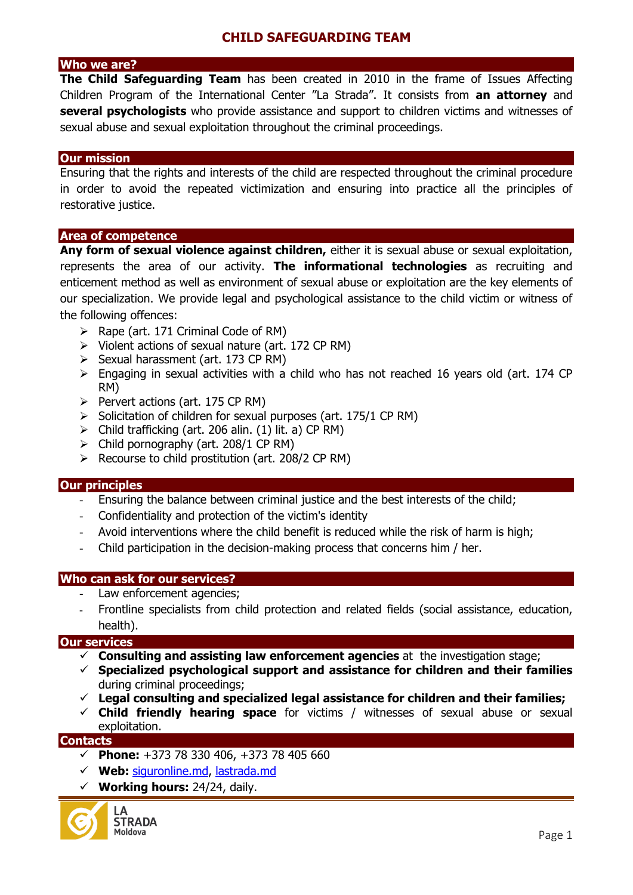## **CHILD SAFEGUARDING TEAM**

## **Who we are?**

**The Child Safeguarding Team** has been created in 2010 in the frame of Issues Affecting Children Program of the International Center "La Strada". It consists from **an attorney** and **several psychologists** who provide assistance and support to children victims and witnesses of sexual abuse and sexual exploitation throughout the criminal proceedings.

#### **Our mission**

Ensuring that the rights and interests of the child are respected throughout the criminal procedure in order to avoid the repeated victimization and ensuring into practice all the principles of restorative justice.

### **Area of competence**

**Any form of sexual violence against children,** either it is sexual abuse or sexual exploitation, represents the area of our activity. **The informational technologies** as recruiting and enticement method as well as environment of sexual abuse or exploitation are the key elements of our specialization. We provide legal and psychological assistance to the child victim or witness of the following offences:

- $\triangleright$  Rape (art. 171 Criminal Code of RM)
- $\triangleright$  Violent actions of sexual nature (art. 172 CP RM)
- $\triangleright$  Sexual harassment (art. 173 CP RM)
- $\triangleright$  Engaging in sexual activities with a child who has not reached 16 years old (art. 174 CP) RM)
- $\triangleright$  Pervert actions (art. 175 CP RM)
- $\triangleright$  Solicitation of children for sexual purposes (art. 175/1 CP RM)
- $\triangleright$  Child trafficking (art. 206 alin. (1) lit. a) CP RM)
- $\triangleright$  Child pornography (art. 208/1 CP RM)
- $\triangleright$  Recourse to child prostitution (art. 208/2 CP RM)

### **Our principles**

- Ensuring the balance between criminal justice and the best interests of the child;
- Confidentiality and protection of the victim's identity
- Avoid interventions where the child benefit is reduced while the risk of harm is high;
- Child participation in the decision-making process that concerns him / her.

### **Who can ask for our services?**

- Law enforcement agencies;
- Frontline specialists from child protection and related fields (social assistance, education, health).

### **Our services**

- **Consulting and assisting law enforcement agencies** at the investigation stage;
- **Specialized psychological support and assistance for children and their families** during criminal proceedings;
- **Legal consulting and specialized legal assistance for children and their families;**
- **Child friendly hearing space** for victims / witnesses of sexual abuse or sexual exploitation.

### **Contacts**

- **Phone:** +373 78 330 406, +373 78 405 660
- **Web:** [siguronline.md,](http://lastrada.md/) lastrada.md
- **Working hours:** 24/24, daily.

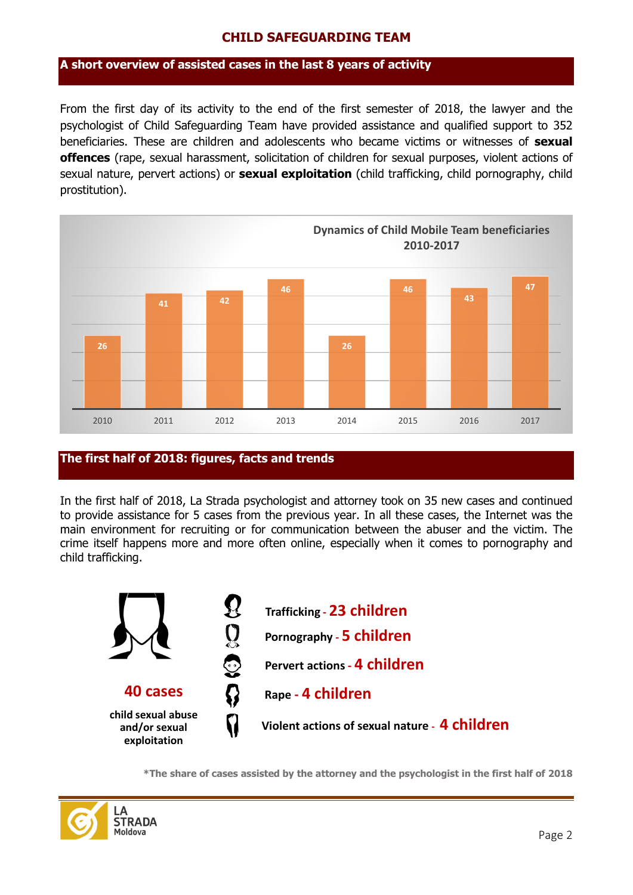## **CHILD SAFEGUARDING TEAM**

## **A short overview of assisted cases in the last 8 years of activity**

From the first day of its activity to the end of the first semester of 2018, the lawyer and the psychologist of Child Safeguarding Team have provided assistance and qualified support to 352 beneficiaries. These are children and adolescents who became victims or witnesses of **sexual offences** (rape, sexual harassment, solicitation of children for sexual purposes, violent actions of sexual nature, pervert actions) or **sexual exploitation** (child trafficking, child pornography, child prostitution).



## **The first half of 2018: figures, facts and trends**

In the first half of 2018, La Strada psychologist and attorney took on 35 new cases and continued to provide assistance for 5 cases from the previous year. In all these cases, the Internet was the main environment for recruiting or for communication between the abuser and the victim. The crime itself happens more and more often online, especially when it comes to pornography and child trafficking.



**\*The share of cases assisted by the attorney and the psychologist in the first half of 2018**